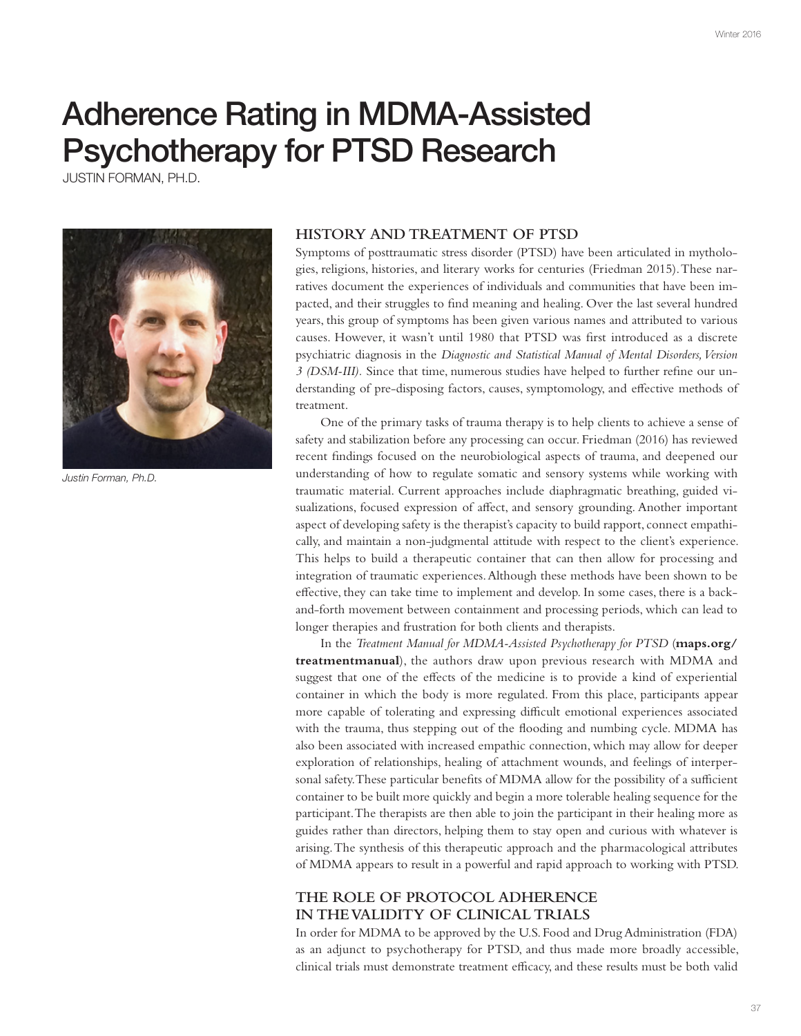# Adherence Rating in MDMA-Assisted Psychotherapy for PTSD Research

JUSTIN FORMAN, PH.D.



*Justin Forman, Ph.D.*

#### **HISTORY AND TREATMENT OF PTSD**

Symptoms of posttraumatic stress disorder (PTSD) have been articulated in mythologies, religions, histories, and literary works for centuries (Friedman 2015). These narratives document the experiences of individuals and communities that have been impacted, and their struggles to fnd meaning and healing. Over the last several hundred years, this group of symptoms has been given various names and attributed to various causes. However, it wasn't until 1980 that PTSD was frst introduced as a discrete psychiatric diagnosis in the *Diagnostic and Statistical Manual of Mental Disorders, Version 3 (DSM-III).* Since that time, numerous studies have helped to further refne our understanding of pre-disposing factors, causes, symptomology, and efective methods of treatment.

One of the primary tasks of trauma therapy is to help clients to achieve a sense of safety and stabilization before any processing can occur. Friedman (2016) has reviewed recent fndings focused on the neurobiological aspects of trauma, and deepened our understanding of how to regulate somatic and sensory systems while working with traumatic material. Current approaches include diaphragmatic breathing, guided visualizations, focused expression of afect, and sensory grounding. Another important aspect of developing safety is the therapist's capacity to build rapport, connect empathically, and maintain a non-judgmental attitude with respect to the client's experience. This helps to build a therapeutic container that can then allow for processing and integration of traumatic experiences. Although these methods have been shown to be efective, they can take time to implement and develop. In some cases, there is a backand-forth movement between containment and processing periods, which can lead to longer therapies and frustration for both clients and therapists.

In the *Treatment Manual for MDMA-Assisted Psychotherapy for PTSD* (**maps.org/ treatmentmanual**), the authors draw upon previous research with MDMA and suggest that one of the efects of the medicine is to provide a kind of experiential container in which the body is more regulated. From this place, participants appear more capable of tolerating and expressing difficult emotional experiences associated with the trauma, thus stepping out of the fooding and numbing cycle. MDMA has also been associated with increased empathic connection, which may allow for deeper exploration of relationships, healing of attachment wounds, and feelings of interpersonal safety. These particular benefits of MDMA allow for the possibility of a sufficient container to be built more quickly and begin a more tolerable healing sequence for the participant. The therapists are then able to join the participant in their healing more as guides rather than directors, helping them to stay open and curious with whatever is arising. The synthesis of this therapeutic approach and the pharmacological attributes of MDMA appears to result in a powerful and rapid approach to working with PTSD.

## **THE ROLE OF PROTOCOL ADHERENCE IN THE VALIDITY OF CLINICAL TRIALS**

In order for MDMA to be approved by the U.S. Food and Drug Administration (FDA) as an adjunct to psychotherapy for PTSD, and thus made more broadly accessible, clinical trials must demonstrate treatment efficacy, and these results must be both valid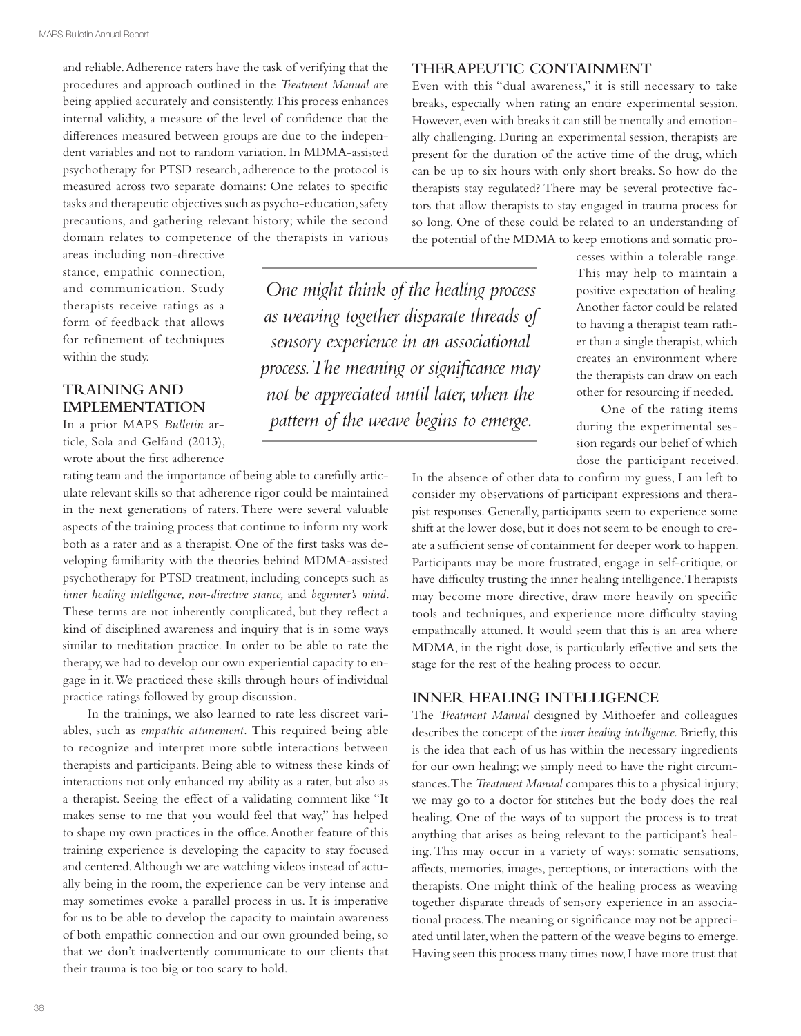and reliable. Adherence raters have the task of verifying that the procedures and approach outlined in the *Treatment Manual a*re being applied accurately and consistently. This process enhances internal validity, a measure of the level of confdence that the diferences measured between groups are due to the independent variables and not to random variation. In MDMA-assisted psychotherapy for PTSD research, adherence to the protocol is measured across two separate domains: One relates to specifc tasks and therapeutic objectives such as psycho-education, safety precautions, and gathering relevant history; while the second domain relates to competence of the therapists in various

areas including non-directive stance, empathic connection, and communication. Study therapists receive ratings as a form of feedback that allows for refinement of techniques within the study.

## **TRAINING AND IMPLEMENTATION**

In a prior MAPS *Bulletin* article, Sola and Gelfand (2013), wrote about the frst adherence

rating team and the importance of being able to carefully articulate relevant skills so that adherence rigor could be maintained in the next generations of raters. There were several valuable aspects of the training process that continue to inform my work both as a rater and as a therapist. One of the frst tasks was developing familiarity with the theories behind MDMA-assisted psychotherapy for PTSD treatment, including concepts such as *inner healing intelligence, non-directive stance,* and *beginner's mind.*  These terms are not inherently complicated, but they refect a kind of disciplined awareness and inquiry that is in some ways similar to meditation practice. In order to be able to rate the therapy, we had to develop our own experiential capacity to engage in it. We practiced these skills through hours of individual practice ratings followed by group discussion.

In the trainings, we also learned to rate less discreet variables, such as *empathic attunement.* This required being able to recognize and interpret more subtle interactions between therapists and participants. Being able to witness these kinds of interactions not only enhanced my ability as a rater, but also as a therapist. Seeing the efect of a validating comment like "It makes sense to me that you would feel that way," has helped to shape my own practices in the office. Another feature of this training experience is developing the capacity to stay focused and centered. Although we are watching videos instead of actually being in the room, the experience can be very intense and may sometimes evoke a parallel process in us. It is imperative for us to be able to develop the capacity to maintain awareness of both empathic connection and our own grounded being, so that we don't inadvertently communicate to our clients that their trauma is too big or too scary to hold.

*One might think of the healing process as weaving together disparate threads of sensory experience in an associational process. The meaning or signifcance may not be appreciated until later, when the pattern of the weave begins to emerge.*

#### **THERAPEUTIC CONTAINMENT**

Even with this "dual awareness," it is still necessary to take breaks, especially when rating an entire experimental session. However, even with breaks it can still be mentally and emotionally challenging. During an experimental session, therapists are present for the duration of the active time of the drug, which can be up to six hours with only short breaks. So how do the therapists stay regulated? There may be several protective factors that allow therapists to stay engaged in trauma process for so long. One of these could be related to an understanding of the potential of the MDMA to keep emotions and somatic pro-

> cesses within a tolerable range. This may help to maintain a positive expectation of healing. Another factor could be related to having a therapist team rather than a single therapist, which creates an environment where the therapists can draw on each other for resourcing if needed.

> One of the rating items during the experimental session regards our belief of which dose the participant received.

In the absence of other data to confrm my guess, I am left to consider my observations of participant expressions and therapist responses. Generally, participants seem to experience some shift at the lower dose, but it does not seem to be enough to create a sufficient sense of containment for deeper work to happen. Participants may be more frustrated, engage in self-critique, or have difficulty trusting the inner healing intelligence. Therapists may become more directive, draw more heavily on specifc tools and techniques, and experience more difficulty staying empathically attuned. It would seem that this is an area where MDMA, in the right dose, is particularly efective and sets the stage for the rest of the healing process to occur.

### **INNER HEALING INTELLIGENCE**

The *Treatment Manual* designed by Mithoefer and colleagues describes the concept of the *inner healing intelligence.* Briefy, this is the idea that each of us has within the necessary ingredients for our own healing; we simply need to have the right circumstances. The *Treatment Manual* compares this to a physical injury; we may go to a doctor for stitches but the body does the real healing. One of the ways of to support the process is to treat anything that arises as being relevant to the participant's healing. This may occur in a variety of ways: somatic sensations, afects, memories, images, perceptions, or interactions with the therapists. One might think of the healing process as weaving together disparate threads of sensory experience in an associational process. The meaning or signifcance may not be appreciated until later, when the pattern of the weave begins to emerge. Having seen this process many times now, I have more trust that